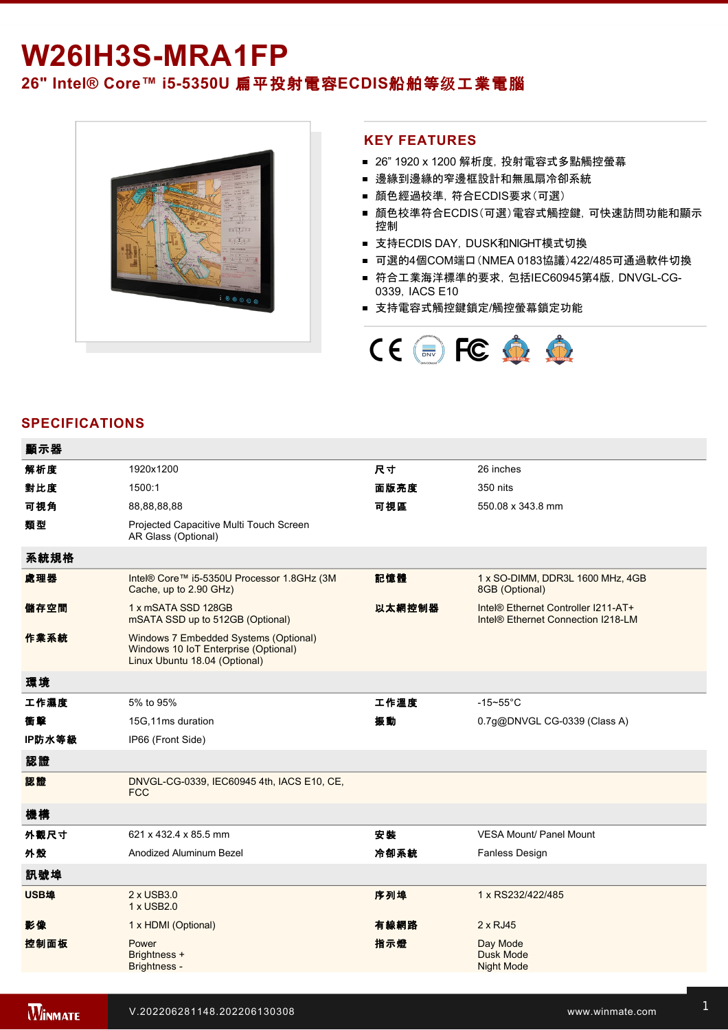# W26IH3S-MRA1FP **26" Intel® Core™ i55350U** 扁平投射電容**ECDIS**船舶等级工業電腦



## **KEY FEATURES**

- 26" 1920 x 1200 解析度, 投射電容式多點觸控螢幕
- 邊緣到邊緣的窄邊框設計和無風扇冷卻系統
- 顏色經過校準,符合ECDIS要求(可選)
- 顏色校準符合ECDIS(可選)電容式觸控鍵, 可快速訪問功能和顯示 控制
- 支持ECDIS DAY, DUSK和NIGHT模式切換
- 可選的4個COM端口(NMEA 0183協議)422/485可通過軟件切換
- 符合工業海洋標準的要求, 包括IEC60945第4版, DNVGL-CG-0339,IACS E10
- 支持電容式觸控鍵鎖定/觸控螢幕鎖定功能



## **SPECIFICATIONS**

| 顯示器    |                                                                                                                |        |                                                                                       |
|--------|----------------------------------------------------------------------------------------------------------------|--------|---------------------------------------------------------------------------------------|
| 解析度    | 1920x1200                                                                                                      | 尺寸     | 26 inches                                                                             |
| 對比度    | 1500:1                                                                                                         | 面版亮度   | 350 nits                                                                              |
| 可視角    | 88,88,88,88                                                                                                    | 可視區    | 550.08 x 343.8 mm                                                                     |
| 類型     | Projected Capacitive Multi Touch Screen<br>AR Glass (Optional)                                                 |        |                                                                                       |
| 系統規格   |                                                                                                                |        |                                                                                       |
| 處理器    | Intel® Core™ i5-5350U Processor 1.8GHz (3M<br>Cache, up to 2.90 GHz)                                           | 記憶體    | 1 x SO-DIMM, DDR3L 1600 MHz, 4GB<br>8GB (Optional)                                    |
| 儲存空間   | 1 x mSATA SSD 128GB<br>mSATA SSD up to 512GB (Optional)                                                        | 以太網控制器 | Intel® Ethernet Controller I211-AT+<br>Intel <sup>®</sup> Ethernet Connection I218-LM |
| 作業系統   | Windows 7 Embedded Systems (Optional)<br>Windows 10 IoT Enterprise (Optional)<br>Linux Ubuntu 18.04 (Optional) |        |                                                                                       |
| 環境     |                                                                                                                |        |                                                                                       |
| 工作濕度   | 5% to 95%                                                                                                      | 工作溫度   | $-15 - 55$ °C                                                                         |
| 衝聲     | 15G,11ms duration                                                                                              | 振動     | 0.7g@DNVGL CG-0339 (Class A)                                                          |
| IP防水等級 | IP66 (Front Side)                                                                                              |        |                                                                                       |
| 認證     |                                                                                                                |        |                                                                                       |
| 認證     | DNVGL-CG-0339, IEC60945 4th, IACS E10, CE,<br><b>FCC</b>                                                       |        |                                                                                       |
| 機構     |                                                                                                                |        |                                                                                       |
| 外觀尺寸   | 621 x 432.4 x 85.5 mm                                                                                          | 安裝     | <b>VESA Mount/ Panel Mount</b>                                                        |
| 外殼     | Anodized Aluminum Bezel                                                                                        | 冷卻系統   | Fanless Design                                                                        |
| 訊號埠    |                                                                                                                |        |                                                                                       |
| USB埠   | 2 x USB3.0<br>1 x USB2.0                                                                                       | 序列埠    | 1 x RS232/422/485                                                                     |
| 影像     | 1 x HDMI (Optional)                                                                                            | 有線網路   | $2 \times RJ45$                                                                       |
| 控制面板   | Power<br>Brightness +<br><b>Brightness -</b>                                                                   | 指示燈    | Day Mode<br><b>Dusk Mode</b><br><b>Night Mode</b>                                     |
|        |                                                                                                                |        |                                                                                       |

配件

Function Key(Default setting: ECDIS Mode)